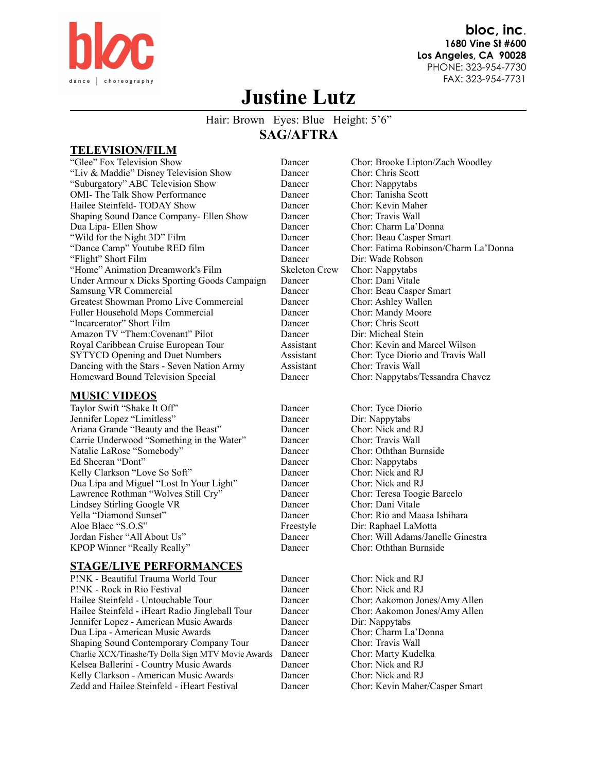

**bloc, inc**. **1680 Vine St #600 Los Angeles, CA 90028**  PHONE: 323-954-7730 FAX: 323-954-7731

# **Justine Lutz**

## Hair: Brown Eyes: Blue Height: 5'6" **SAG/AFTRA**

### **TELEVISION/FILM**

"Glee" Fox Television Show Dancer Chor: Brooke Lipton/Zach Woodley "Liv & Maddie" Disney Television Show Dancer Chor: Chris Scott "Suburgatory" ABC Television Show Dancer Chor: Nappytabs OMI- The Talk Show Performance Dancer Chor: Tanisha Scott<br>
Hailee Steinfeld- TODAY Show Dancer Chor: Kevin Maher Hailee Steinfeld- TODAY Show Dancer Shaping Sound Dance Company- Ellen Show Dancer Chor: Travis Wall Dua Lipa- Ellen Show Dancer Chor: Charm La'Donna "Wild for the Night 3D" Film Dancer Chor: Beau Casper Smart "Flight" Short Film Dancer Dir: Wade Robson "Home" Animation Dreamwork's Film Skeleton Crew Chor: Nappytabs Under Armour x Dicks Sporting Goods Campaign Dancer Chor: Dani Vitale Samsung VR Commercial **Dancer** Chor: Beau Casper Smart<br>
Greatest Showman Promo Live Commercial Dancer Chor: Ashley Wallen Greatest Showman Promo Live Commercial Dancer Fuller Household Mops Commercial Dancer Chor: Mandy Moore "Incarcerator" Short Film Dancer Chor: Chris Scott Amazon TV "Them:Covenant" Pilot Dancer Royal Caribbean Cruise European Tour Assistant Chor: Kevin and Marcel Wilson SYTYCD Opening and Duet Numbers Assistant Chor: Tyce Diorio and Travis Wall Dancing with the Stars - Seven Nation Army Assistant Chor: Travis Wall Homeward Bound Television Special Dancer Chor: Nappytabs/Tessandra Chavez

#### **MUSIC VIDEOS**

Taylor Swift "Shake It Off" Dancer Chor: Tyce Diorio Jennifer Lopez "Limitless" Dancer Dir: Nappytabs Ariana Grande "Beauty and the Beast" Dancer Chor: Nick and RJ Carrie Underwood "Something in the Water" Dancer Chor: Travis Wall Natalie LaRose "Somebody" Dancer Chor: Oththan Burnside Ed Sheeran "Dont" Dancer Chor: Nappytabs Kelly Clarkson "Love So Soft" Dancer Chor: Nick and RJ<br>
Dua Lipa and Miguel "Lost In Your Light" Dancer Chor: Nick and RJ Dua Lipa and Miguel "Lost In Your Light" Dancer Lawrence Rothman "Wolves Still Cry" Dancer Chor: Teresa Toogie Barcelo Lindsey Stirling Google VR Dancer Chor: Dani Vitale Vella "Diamond Sunset" Chor: North Chor: Rio and Ma Aloe Blacc "S.O.S" Freestyle Dir: Raphael LaMotta Jordan Fisher "All About Us" Dancer Chor: Will Adams/Janelle Ginestra KPOP Winner "Really Really" Dancer

#### **STAGE/LIVE PERFORMANCES**

P!NK - Beautiful Trauma World Tour Dancer Chor: Nick and RJ P!NK - Rock in Rio Festival Dancer Chor: Nick and RJ<br>
Hailee Steinfeld - Untouchable Tour Dancer Chor: Aakomon Jo Hailee Steinfeld - iHeart Radio Jingleball Tour Dancer Chor: Aakomon Jones/Amy Allen Jennifer Lopez - American Music Awards Dancer Dir: Nappytabs<br>
Dua Lipa - American Music Awards Dancer Chor: Charm La'Donna Dua Lipa - American Music Awards Dancer Shaping Sound Contemporary Company Tour Dancer Chor: Travis Wall Charlie XCX/Tinashe/Ty Dolla \$ign MTV Movie Awards Dancer Chor: Marty Kudelka Kelsea Ballerini - Country Music Awards Dancer Kelly Clarkson - American Music Awards<br>
2edd and Hailee Steinfeld - iHeart Festival<br>
Dancer Chor: Kevin Maher/Casper Smart Zedd and Hailee Steinfeld - iHeart Festival Dancer

"Dance Camp" Youtube RED film Dancer Chor: Fatima Robinson/Charm La'Donna

Dancer Chor: Rio and Maasa Ishihara

Dancer Chor: Aakomon Jones/Amy Allen